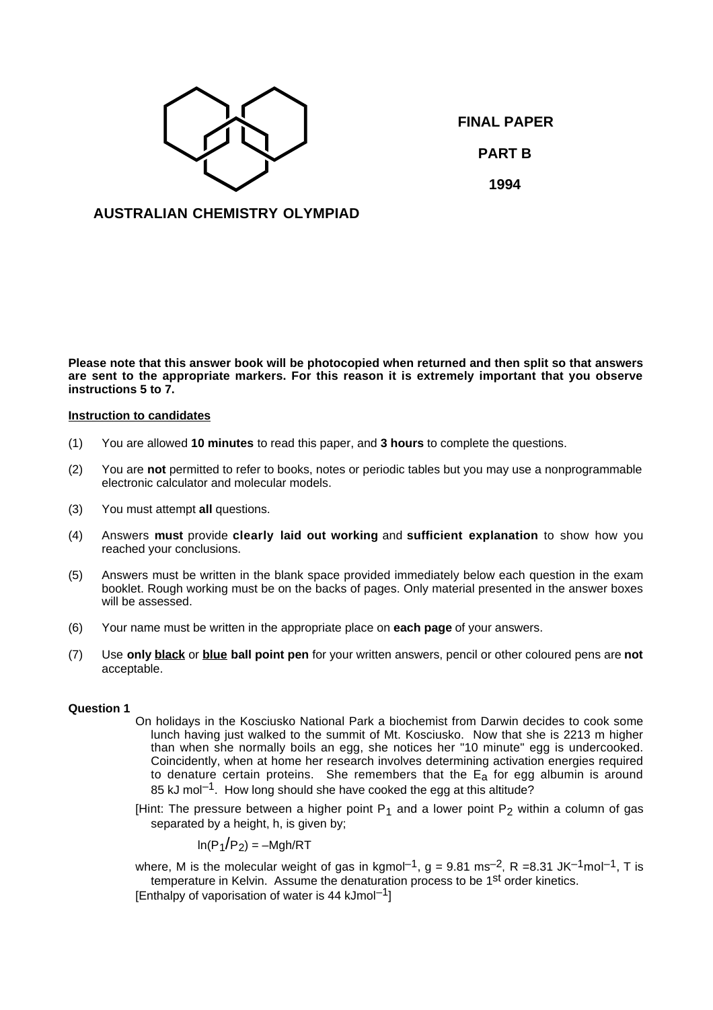

**FINAL PAPER PART B 1994**

**AUSTRALIAN CHEMISTRY OLYMPIAD**

**Please note that this answer book will be photocopied when returned and then split so that answers are sent to the appropriate markers. For this reason it is extremely important that you observe instructions 5 to 7.**

# **Instruction to candidates**

- (1) You are allowed **10 minutes** to read this paper, and **3 hours** to complete the questions.
- (2) You are **not** permitted to refer to books, notes or periodic tables but you may use a nonprogrammable electronic calculator and molecular models.
- (3) You must attempt **all** questions.
- (4) Answers **must** provide **clearly laid out working** and **sufficient explanation** to show how you reached your conclusions.
- (5) Answers must be written in the blank space provided immediately below each question in the exam booklet. Rough working must be on the backs of pages. Only material presented in the answer boxes will be assessed.
- (6) Your name must be written in the appropriate place on **each page** of your answers.
- (7) Use **only black** or **blue ball point pen** for your written answers, pencil or other coloured pens are **not** acceptable.

#### **Question 1**

- On holidays in the Kosciusko National Park a biochemist from Darwin decides to cook some lunch having just walked to the summit of Mt. Kosciusko. Now that she is 2213 m higher than when she normally boils an egg, she notices her "10 minute" egg is undercooked. Coincidently, when at home her research involves determining activation energies required to denature certain proteins. She remembers that the  $E_a$  for egg albumin is around 85 kJ mol<sup>-1</sup>. How long should she have cooked the egg at this altitude?
- [Hint: The pressure between a higher point  $P_1$  and a lower point  $P_2$  within a column of gas separated by a height, h, is given by:

$$
\ln(\mathrm{P}_1/\mathrm{P}_2) = -\mathrm{Mgh}/\mathrm{RT}
$$

where, M is the molecular weight of gas in kgmol<sup>-1</sup>, g = 9.81 ms<sup>-2</sup>, R = 8.31 JK<sup>-1</sup>mol<sup>-1</sup>, T is temperature in Kelvin. Assume the denaturation process to be 1<sup>st</sup> order kinetics.

 $[Enthalov of vaporisation of water is 44 kJmol<sup>-1</sup>]$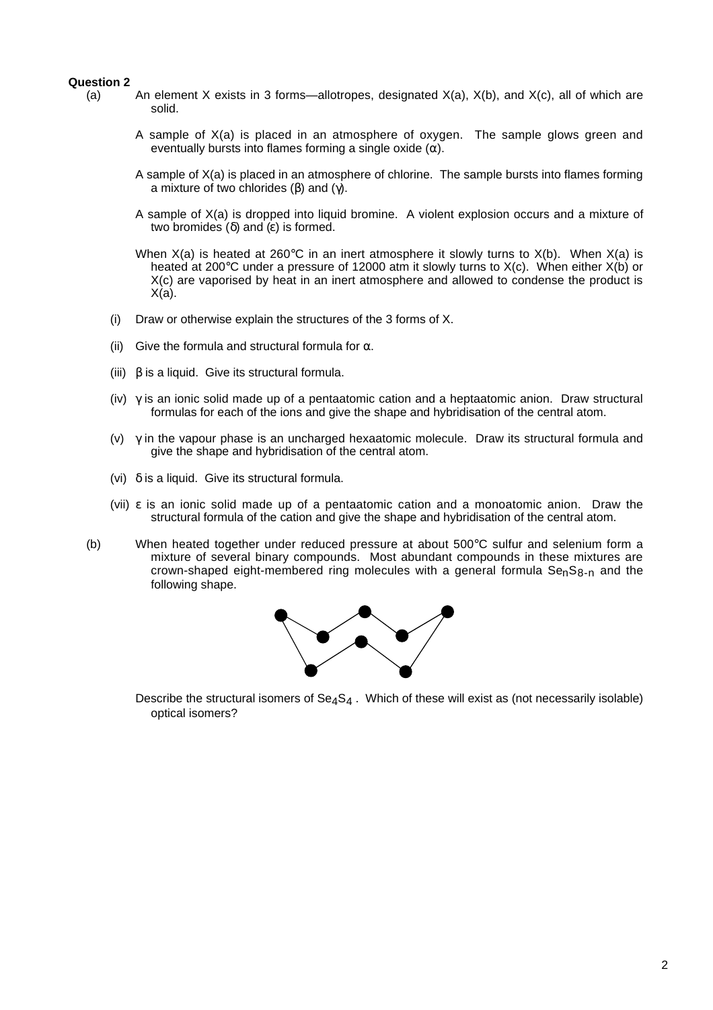### **Question 2**

- (a) An element X exists in 3 forms—allotropes, designated  $X(a)$ ,  $X(b)$ , and  $X(c)$ , all of which are solid.
	- A sample of X(a) is placed in an atmosphere of oxygen. The sample glows green and eventually bursts into flames forming a single oxide  $(\alpha)$ .
	- A sample of X(a) is placed in an atmosphere of chlorine. The sample bursts into flames forming a mixture of two chlorides (β) and (γ).
	- A sample of X(a) is dropped into liquid bromine. A violent explosion occurs and a mixture of two bromides (δ) and (ε) is formed.
	- When  $X(a)$  is heated at 260°C in an inert atmosphere it slowly turns to  $X(b)$ . When  $X(a)$  is heated at 200°C under a pressure of 12000 atm it slowly turns to X(c). When either X(b) or X(c) are vaporised by heat in an inert atmosphere and allowed to condense the product is  $X(a)$ .
	- (i) Draw or otherwise explain the structures of the 3 forms of X.
	- (ii) Give the formula and structural formula for  $\alpha$ .
	- (iii)  $β$  is a liquid. Give its structural formula.
	- (iv)  $\gamma$  is an ionic solid made up of a pentaatomic cation and a heptaatomic anion. Draw structural formulas for each of the ions and give the shape and hybridisation of the central atom.
	- (v)  $\gamma$  in the vapour phase is an uncharged hexaatomic molecule. Draw its structural formula and give the shape and hybridisation of the central atom.
	- (vi)  $\delta$  is a liquid. Give its structural formula.
	- (vii) ε is an ionic solid made up of a pentaatomic cation and a monoatomic anion. Draw the structural formula of the cation and give the shape and hybridisation of the central atom.
- (b) When heated together under reduced pressure at about 500°C sulfur and selenium form a mixture of several binary compounds. Most abundant compounds in these mixtures are crown-shaped eight-membered ring molecules with a general formula  $Se<sub>n</sub>Se<sub>n</sub>$  and the following shape.



Describe the structural isomers of  $Se_4S_4$ . Which of these will exist as (not necessarily isolable) optical isomers?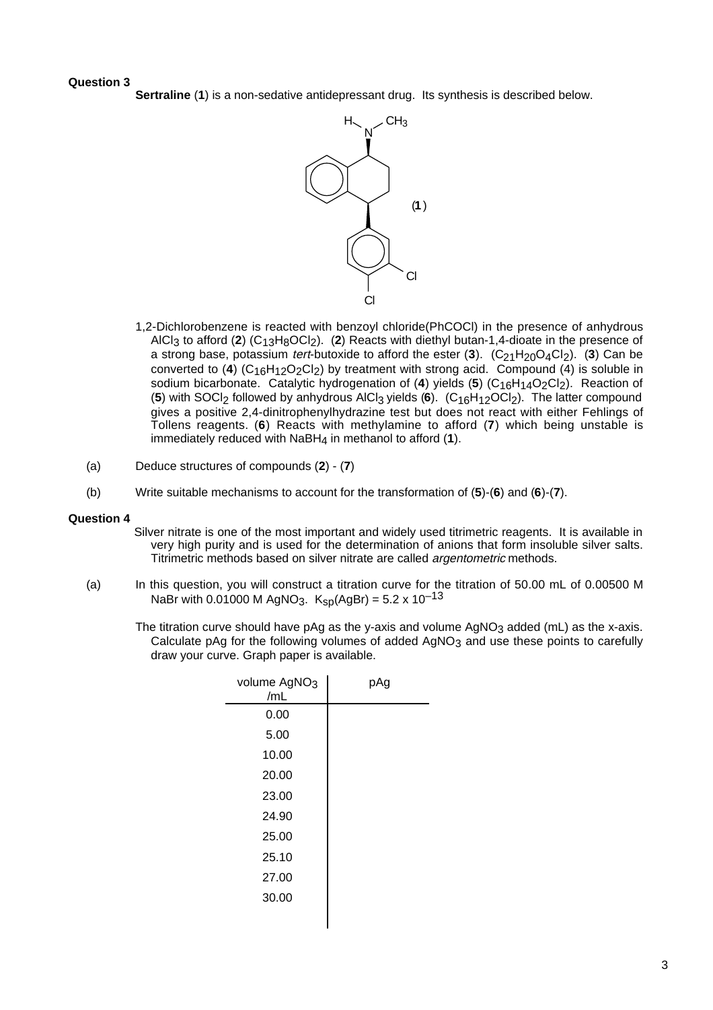# **Question 3**

**Sertraline** (**1**) is a non-sedative antidepressant drug. Its synthesis is described below.



- 1,2-Dichlorobenzene is reacted with benzoyl chloride(PhCOCl) in the presence of anhydrous AlCl<sub>3</sub> to afford (2) (C<sub>13</sub>H<sub>8</sub>OCl<sub>2</sub>). (2) Reacts with diethyl butan-1,4-dioate in the presence of a strong base, potassium *tert*-butoxide to afford the ester (3). (C<sub>21</sub>H<sub>20</sub>O<sub>4</sub>Cl<sub>2</sub>). (3) Can be converted to (4) (C<sub>16</sub>H<sub>12</sub>O<sub>2</sub>Cl<sub>2</sub>) by treatment with strong acid. Compound (4) is soluble in sodium bicarbonate. Catalytic hydrogenation of (4) yields (5) (C<sub>16</sub>H<sub>14</sub>O<sub>2</sub>Cl<sub>2</sub>). Reaction of (**5**) with SOCl2 followed by anhydrous AlCl3 yields (**6**). (C16H12OCl2). The latter compound gives a positive 2,4-dinitrophenylhydrazine test but does not react with either Fehlings of Tollens reagents. (**6**) Reacts with methylamine to afford (**7**) which being unstable is immediately reduced with NaBH4 in methanol to afford (**1**).
- (a) Deduce structures of compounds (**2**) (**7**)
- (b) Write suitable mechanisms to account for the transformation of (**5**)-(**6**) and (**6**)-(**7**).

## **Question 4**

- Silver nitrate is one of the most important and widely used titrimetric reagents. It is available in very high purity and is used for the determination of anions that form insoluble silver salts. Titrimetric methods based on silver nitrate are called argentometric methods.
- (a) In this question, you will construct a titration curve for the titration of 50.00 mL of 0.00500 M NaBr with 0.01000 M AgNO<sub>3</sub>. K<sub>sp</sub>(AgBr) = 5.2 x 10<sup>-13</sup>
	- The titration curve should have pAg as the y-axis and volume  $AgNO<sub>3</sub>$  added (mL) as the x-axis. Calculate pAg for the following volumes of added  $AgNO<sub>3</sub>$  and use these points to carefully draw your curve. Graph paper is available.

| volume AgNO <sub>3</sub><br>/mL | pAg |
|---------------------------------|-----|
| 0.00                            |     |
| 5.00                            |     |
| 10.00                           |     |
| 20.00                           |     |
| 23.00                           |     |
| 24.90                           |     |
| 25.00                           |     |
| 25.10                           |     |
| 27.00                           |     |
| 30.00                           |     |
|                                 |     |